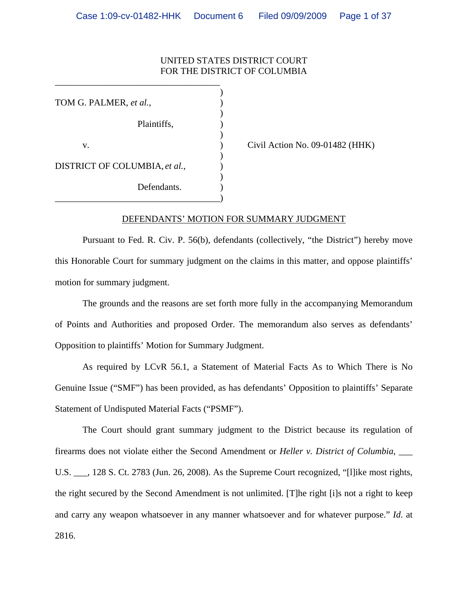## UNITED STATES DISTRICT COURT FOR THE DISTRICT OF COLUMBIA

 $)$ TOM G. PALMER, *et al.*, )  $\overline{\phantom{a}}$ Plaintiffs, )  $\overline{\phantom{a}}$ v. ) Civil Action No. 09-01482 (HHK)  $\overline{\phantom{a}}$ DISTRICT OF COLUMBIA, *et al.*,  $\qquad)$  $\overline{\phantom{a}}$ Defendants.

\_\_\_\_\_\_\_\_\_\_\_\_\_\_\_\_\_\_\_\_\_\_\_\_\_\_\_\_\_\_\_\_\_\_\_\_)

\_\_\_\_\_\_\_\_\_\_\_\_\_\_\_\_\_\_\_\_\_\_\_\_\_\_\_\_\_\_\_\_\_\_\_\_

#### DEFENDANTS' MOTION FOR SUMMARY JUDGMENT

Pursuant to Fed. R. Civ. P. 56(b), defendants (collectively, "the District") hereby move this Honorable Court for summary judgment on the claims in this matter, and oppose plaintiffs' motion for summary judgment.

The grounds and the reasons are set forth more fully in the accompanying Memorandum of Points and Authorities and proposed Order. The memorandum also serves as defendants' Opposition to plaintiffs' Motion for Summary Judgment.

As required by LCvR 56.1, a Statement of Material Facts As to Which There is No Genuine Issue ("SMF") has been provided, as has defendants' Opposition to plaintiffs' Separate Statement of Undisputed Material Facts ("PSMF").

The Court should grant summary judgment to the District because its regulation of firearms does not violate either the Second Amendment or *Heller v. District of Columbia*, \_\_\_

U.S. \_\_\_, 128 S. Ct. 2783 (Jun. 26, 2008). As the Supreme Court recognized, "[l]ike most rights, the right secured by the Second Amendment is not unlimited. [T]he right [i]s not a right to keep and carry any weapon whatsoever in any manner whatsoever and for whatever purpose." *Id*. at 2816.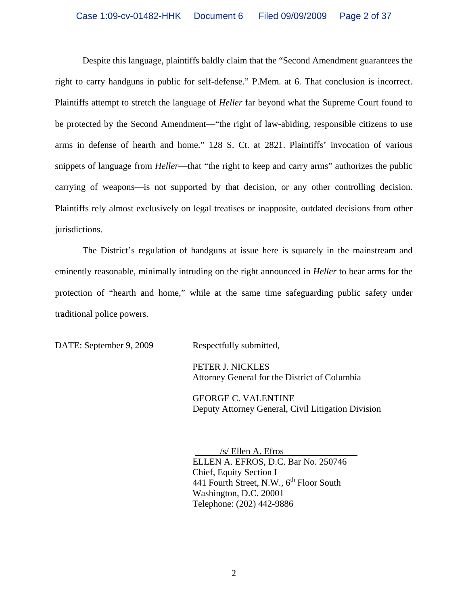Despite this language, plaintiffs baldly claim that the "Second Amendment guarantees the right to carry handguns in public for self-defense." P.Mem. at 6. That conclusion is incorrect. Plaintiffs attempt to stretch the language of *Heller* far beyond what the Supreme Court found to be protected by the Second Amendment—"the right of law-abiding, responsible citizens to use arms in defense of hearth and home." 128 S. Ct. at 2821. Plaintiffs' invocation of various snippets of language from *Heller*—that "the right to keep and carry arms" authorizes the public carrying of weapons—is not supported by that decision, or any other controlling decision. Plaintiffs rely almost exclusively on legal treatises or inapposite, outdated decisions from other jurisdictions.

The District's regulation of handguns at issue here is squarely in the mainstream and eminently reasonable, minimally intruding on the right announced in *Heller* to bear arms for the protection of "hearth and home," while at the same time safeguarding public safety under traditional police powers.

DATE: September 9, 2009 Respectfully submitted,

 PETER J. NICKLES Attorney General for the District of Columbia

 GEORGE C. VALENTINE Deputy Attorney General, Civil Litigation Division

 /s/ Ellen A. Efros ELLEN A. EFROS, D.C. Bar No. 250746 Chief, Equity Section I 441 Fourth Street, N.W.,  $6^{th}$  Floor South Washington, D.C. 20001 Telephone: (202) 442-9886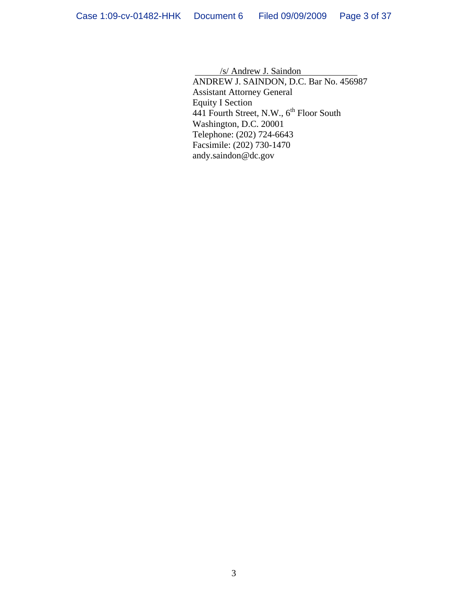/s/ Andrew J. Saindon ANDREW J. SAINDON, D.C. Bar No. 456987 Assistant Attorney General Equity I Section 441 Fourth Street, N.W.,  $6<sup>th</sup>$  Floor South Washington, D.C. 20001 Telephone: (202) 724-6643 Facsimile: (202) 730-1470 andy.saindon@dc.gov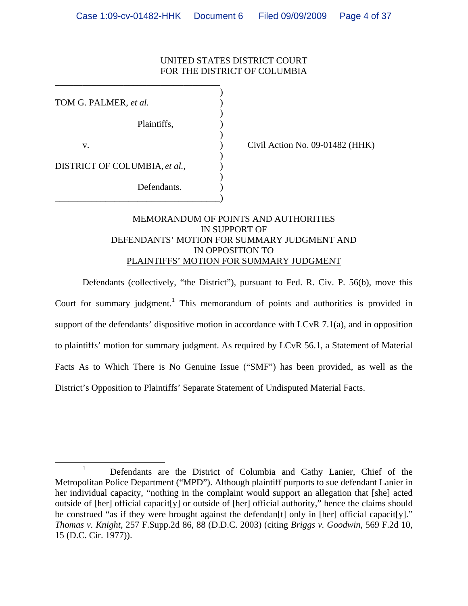## UNITED STATES DISTRICT COURT FOR THE DISTRICT OF COLUMBIA

| TOM G. PALMER, et al.         |  |
|-------------------------------|--|
| Plaintiffs,                   |  |
| V.                            |  |
| DISTRICT OF COLUMBIA, et al., |  |
| Defendants.                   |  |

\_\_\_\_\_\_\_\_\_\_\_\_\_\_\_\_\_\_\_\_\_\_\_\_\_\_\_\_\_\_\_\_\_\_\_\_

Civil Action No. 09-01482 ( $HHK$ )

# MEMORANDUM OF POINTS AND AUTHORITIES IN SUPPORT OF DEFENDANTS' MOTION FOR SUMMARY JUDGMENT AND IN OPPOSITION TO PLAINTIFFS' MOTION FOR SUMMARY JUDGMENT

Defendants (collectively, "the District"), pursuant to Fed. R. Civ. P. 56(b), move this Court for summary judgment.<sup>1</sup> This memorandum of points and authorities is provided in support of the defendants' dispositive motion in accordance with LCvR 7.1(a), and in opposition to plaintiffs' motion for summary judgment. As required by LCvR 56.1, a Statement of Material Facts As to Which There is No Genuine Issue ("SMF") has been provided, as well as the District's Opposition to Plaintiffs' Separate Statement of Undisputed Material Facts.

<sup>&</sup>lt;u>1</u> <sup>1</sup> Defendants are the District of Columbia and Cathy Lanier, Chief of the Metropolitan Police Department ("MPD"). Although plaintiff purports to sue defendant Lanier in her individual capacity, "nothing in the complaint would support an allegation that [she] acted outside of [her] official capacit[y] or outside of [her] official authority," hence the claims should be construed "as if they were brought against the defendant [t] only in [her] official capacit[y]." *Thomas v. Knight*, 257 F.Supp.2d 86, 88 (D.D.C. 2003) (citing *Briggs v. Goodwin*, 569 F.2d 10, 15 (D.C. Cir. 1977)).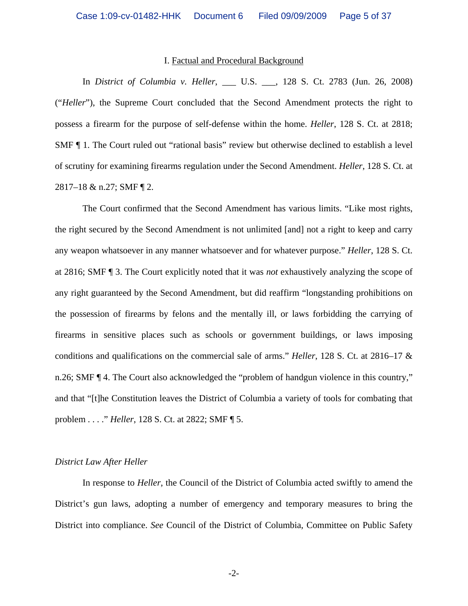#### I. Factual and Procedural Background

In *District of Columbia v. Heller*, \_\_\_ U.S. \_\_\_, 128 S. Ct. 2783 (Jun. 26, 2008) ("*Heller*"), the Supreme Court concluded that the Second Amendment protects the right to possess a firearm for the purpose of self-defense within the home. *Heller*, 128 S. Ct. at 2818; SMF ¶ 1. The Court ruled out "rational basis" review but otherwise declined to establish a level of scrutiny for examining firearms regulation under the Second Amendment. *Heller*, 128 S. Ct. at 2817–18 & n.27; SMF ¶ 2.

The Court confirmed that the Second Amendment has various limits. "Like most rights, the right secured by the Second Amendment is not unlimited [and] not a right to keep and carry any weapon whatsoever in any manner whatsoever and for whatever purpose." *Heller*, 128 S. Ct. at 2816; SMF ¶ 3. The Court explicitly noted that it was *not* exhaustively analyzing the scope of any right guaranteed by the Second Amendment, but did reaffirm "longstanding prohibitions on the possession of firearms by felons and the mentally ill, or laws forbidding the carrying of firearms in sensitive places such as schools or government buildings, or laws imposing conditions and qualifications on the commercial sale of arms." *Heller*, 128 S. Ct. at 2816–17 & n.26; SMF ¶ 4. The Court also acknowledged the "problem of handgun violence in this country," and that "[t]he Constitution leaves the District of Columbia a variety of tools for combating that problem . . . ." *Heller*, 128 S. Ct. at 2822; SMF ¶ 5.

### *District Law After Heller*

In response to *Heller*, the Council of the District of Columbia acted swiftly to amend the District's gun laws, adopting a number of emergency and temporary measures to bring the District into compliance. *See* Council of the District of Columbia, Committee on Public Safety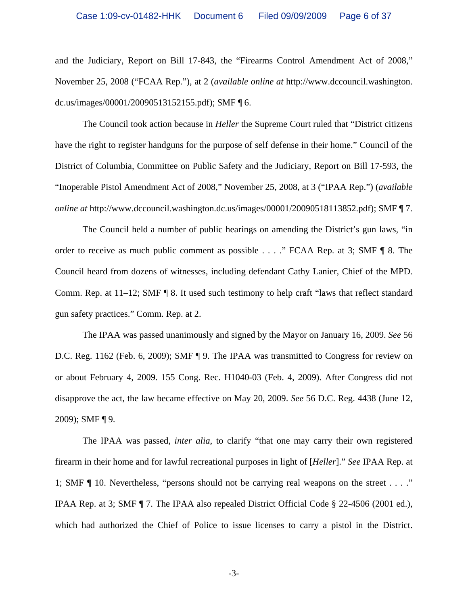and the Judiciary, Report on Bill 17-843, the "Firearms Control Amendment Act of 2008," November 25, 2008 ("FCAA Rep."), at 2 (*available online at* http://www.dccouncil.washington. dc.us/images/00001/20090513152155.pdf); SMF ¶ 6.

The Council took action because in *Heller* the Supreme Court ruled that "District citizens have the right to register handguns for the purpose of self defense in their home." Council of the District of Columbia, Committee on Public Safety and the Judiciary, Report on Bill 17-593, the "Inoperable Pistol Amendment Act of 2008," November 25, 2008, at 3 ("IPAA Rep.") (*available online at* http://www.dccouncil.washington.dc.us/images/00001/20090518113852.pdf); SMF ¶ 7.

The Council held a number of public hearings on amending the District's gun laws, "in order to receive as much public comment as possible . . . ." FCAA Rep. at 3; SMF ¶ 8. The Council heard from dozens of witnesses, including defendant Cathy Lanier, Chief of the MPD. Comm. Rep. at 11–12; SMF ¶ 8. It used such testimony to help craft "laws that reflect standard gun safety practices." Comm. Rep. at 2.

The IPAA was passed unanimously and signed by the Mayor on January 16, 2009. *See* 56 D.C. Reg. 1162 (Feb. 6, 2009); SMF ¶ 9. The IPAA was transmitted to Congress for review on or about February 4, 2009. 155 Cong. Rec. H1040-03 (Feb. 4, 2009). After Congress did not disapprove the act, the law became effective on May 20, 2009. *See* 56 D.C. Reg. 4438 (June 12, 2009); SMF ¶ 9.

The IPAA was passed, *inter alia*, to clarify "that one may carry their own registered firearm in their home and for lawful recreational purposes in light of [*Heller*]." *See* IPAA Rep. at 1; SMF ¶ 10. Nevertheless, "persons should not be carrying real weapons on the street . . . ." IPAA Rep. at 3; SMF ¶ 7. The IPAA also repealed District Official Code § 22-4506 (2001 ed.), which had authorized the Chief of Police to issue licenses to carry a pistol in the District.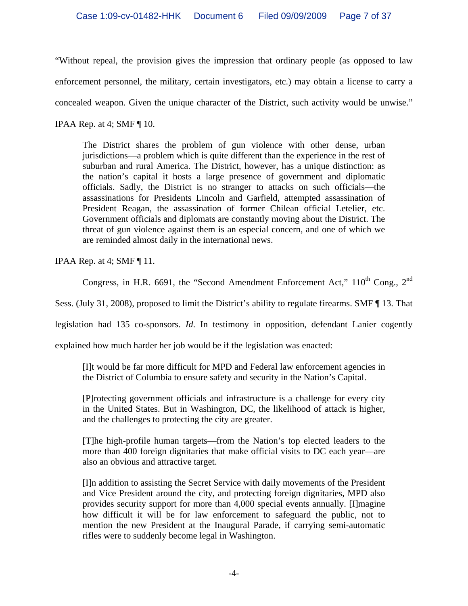"Without repeal, the provision gives the impression that ordinary people (as opposed to law enforcement personnel, the military, certain investigators, etc.) may obtain a license to carry a concealed weapon. Given the unique character of the District, such activity would be unwise." IPAA Rep. at 4; SMF ¶ 10.

The District shares the problem of gun violence with other dense, urban jurisdictions—a problem which is quite different than the experience in the rest of suburban and rural America. The District, however, has a unique distinction: as the nation's capital it hosts a large presence of government and diplomatic officials. Sadly, the District is no stranger to attacks on such officials—the assassinations for Presidents Lincoln and Garfield, attempted assassination of President Reagan, the assassination of former Chilean official Letelier, etc. Government officials and diplomats are constantly moving about the District. The threat of gun violence against them is an especial concern, and one of which we are reminded almost daily in the international news.

IPAA Rep. at 4; SMF ¶ 11.

Congress, in H.R. 6691, the "Second Amendment Enforcement Act," 110<sup>th</sup> Cong., 2<sup>nd</sup>

Sess. (July 31, 2008), proposed to limit the District's ability to regulate firearms. SMF ¶ 13. That

legislation had 135 co-sponsors. *Id*. In testimony in opposition, defendant Lanier cogently

explained how much harder her job would be if the legislation was enacted:

[I]t would be far more difficult for MPD and Federal law enforcement agencies in the District of Columbia to ensure safety and security in the Nation's Capital.

[P]rotecting government officials and infrastructure is a challenge for every city in the United States. But in Washington, DC, the likelihood of attack is higher, and the challenges to protecting the city are greater.

[T]he high-profile human targets—from the Nation's top elected leaders to the more than 400 foreign dignitaries that make official visits to DC each year—are also an obvious and attractive target.

[I]n addition to assisting the Secret Service with daily movements of the President and Vice President around the city, and protecting foreign dignitaries, MPD also provides security support for more than 4,000 special events annually. [I]magine how difficult it will be for law enforcement to safeguard the public, not to mention the new President at the Inaugural Parade, if carrying semi-automatic rifles were to suddenly become legal in Washington.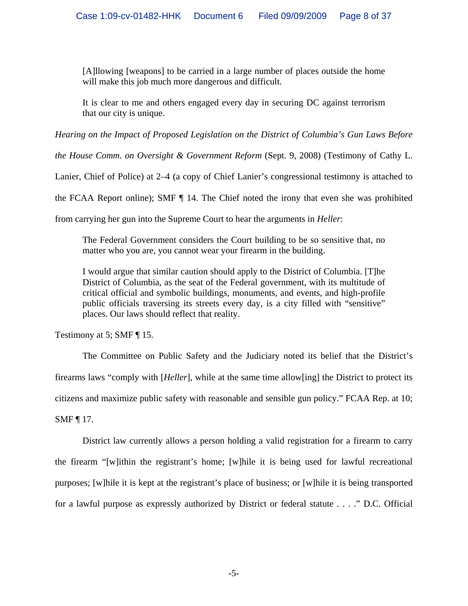[A]llowing [weapons] to be carried in a large number of places outside the home will make this job much more dangerous and difficult.

It is clear to me and others engaged every day in securing DC against terrorism that our city is unique.

*Hearing on the Impact of Proposed Legislation on the District of Columbia's Gun Laws Before* 

*the House Comm. on Oversight & Government Reform* (Sept. 9, 2008) (Testimony of Cathy L.

Lanier, Chief of Police) at 2–4 (a copy of Chief Lanier's congressional testimony is attached to

the FCAA Report online); SMF ¶ 14. The Chief noted the irony that even she was prohibited

from carrying her gun into the Supreme Court to hear the arguments in *Heller*:

The Federal Government considers the Court building to be so sensitive that, no matter who you are, you cannot wear your firearm in the building.

I would argue that similar caution should apply to the District of Columbia. [T]he District of Columbia, as the seat of the Federal government, with its multitude of critical official and symbolic buildings, monuments, and events, and high-profile public officials traversing its streets every day, is a city filled with "sensitive" places. Our laws should reflect that reality.

Testimony at 5; SMF ¶ 15.

The Committee on Public Safety and the Judiciary noted its belief that the District's firearms laws "comply with [*Heller*], while at the same time allow[ing] the District to protect its citizens and maximize public safety with reasonable and sensible gun policy." FCAA Rep. at 10; SMF ¶ 17.

District law currently allows a person holding a valid registration for a firearm to carry the firearm "[w]ithin the registrant's home; [w]hile it is being used for lawful recreational purposes; [w]hile it is kept at the registrant's place of business; or [w]hile it is being transported for a lawful purpose as expressly authorized by District or federal statute . . . ." D.C. Official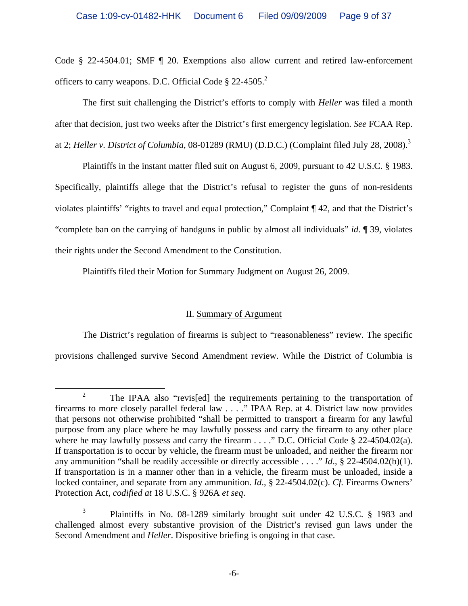Code § 22-4504.01; SMF ¶ 20. Exemptions also allow current and retired law-enforcement officers to carry weapons. D.C. Official Code  $\S 22-4505$ <sup>2</sup>

The first suit challenging the District's efforts to comply with *Heller* was filed a month after that decision, just two weeks after the District's first emergency legislation. *See* FCAA Rep. at 2; *Heller v. District of Columbia*, 08-01289 (RMU) (D.D.C.) (Complaint filed July 28, 2008).<sup>3</sup>

Plaintiffs in the instant matter filed suit on August 6, 2009, pursuant to 42 U.S.C. § 1983. Specifically, plaintiffs allege that the District's refusal to register the guns of non-residents violates plaintiffs' "rights to travel and equal protection," Complaint ¶ 42, and that the District's "complete ban on the carrying of handguns in public by almost all individuals" *id*. ¶ 39, violates their rights under the Second Amendment to the Constitution.

Plaintiffs filed their Motion for Summary Judgment on August 26, 2009.

# II. Summary of Argument

The District's regulation of firearms is subject to "reasonableness" review. The specific provisions challenged survive Second Amendment review. While the District of Columbia is

 <sup>2</sup> <sup>2</sup> The IPAA also "revis[ed] the requirements pertaining to the transportation of firearms to more closely parallel federal law . . . ." IPAA Rep. at 4. District law now provides that persons not otherwise prohibited "shall be permitted to transport a firearm for any lawful purpose from any place where he may lawfully possess and carry the firearm to any other place where he may lawfully possess and carry the firearm . . . ." D.C. Official Code § 22-4504.02(a). If transportation is to occur by vehicle, the firearm must be unloaded, and neither the firearm nor any ammunition "shall be readily accessible or directly accessible . . . ." *Id*., § 22-4504.02(b)(1). If transportation is in a manner other than in a vehicle, the firearm must be unloaded, inside a locked container, and separate from any ammunition. *Id*., § 22-4504.02(c). *Cf.* Firearms Owners' Protection Act, *codified at* 18 U.S.C. § 926A *et seq*.

<sup>3</sup> Plaintiffs in No. 08-1289 similarly brought suit under 42 U.S.C. § 1983 and challenged almost every substantive provision of the District's revised gun laws under the Second Amendment and *Heller*. Dispositive briefing is ongoing in that case.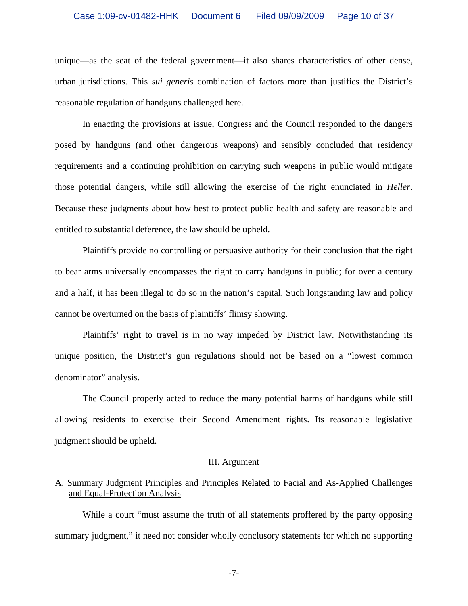### Case 1:09-cv-01482-HHK Document 6 Filed 09/09/2009 Page 10 of 37

unique—as the seat of the federal government—it also shares characteristics of other dense, urban jurisdictions. This *sui generis* combination of factors more than justifies the District's reasonable regulation of handguns challenged here.

In enacting the provisions at issue, Congress and the Council responded to the dangers posed by handguns (and other dangerous weapons) and sensibly concluded that residency requirements and a continuing prohibition on carrying such weapons in public would mitigate those potential dangers, while still allowing the exercise of the right enunciated in *Heller*. Because these judgments about how best to protect public health and safety are reasonable and entitled to substantial deference, the law should be upheld.

Plaintiffs provide no controlling or persuasive authority for their conclusion that the right to bear arms universally encompasses the right to carry handguns in public; for over a century and a half, it has been illegal to do so in the nation's capital. Such longstanding law and policy cannot be overturned on the basis of plaintiffs' flimsy showing.

Plaintiffs' right to travel is in no way impeded by District law. Notwithstanding its unique position, the District's gun regulations should not be based on a "lowest common denominator" analysis.

The Council properly acted to reduce the many potential harms of handguns while still allowing residents to exercise their Second Amendment rights. Its reasonable legislative judgment should be upheld.

#### III. Argument

## A. Summary Judgment Principles and Principles Related to Facial and As-Applied Challenges and Equal-Protection Analysis

While a court "must assume the truth of all statements proffered by the party opposing summary judgment," it need not consider wholly conclusory statements for which no supporting

-7-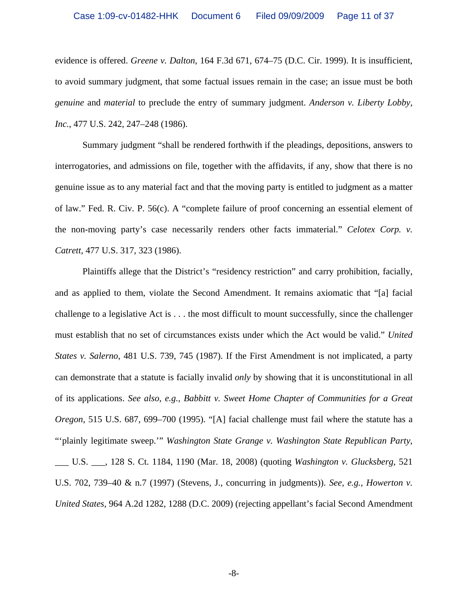evidence is offered. *Greene v. Dalton*, 164 F.3d 671, 674–75 (D.C. Cir. 1999). It is insufficient, to avoid summary judgment, that some factual issues remain in the case; an issue must be both *genuine* and *material* to preclude the entry of summary judgment. *Anderson v. Liberty Lobby, Inc.*, 477 U.S. 242, 247–248 (1986).

Summary judgment "shall be rendered forthwith if the pleadings, depositions, answers to interrogatories, and admissions on file, together with the affidavits, if any, show that there is no genuine issue as to any material fact and that the moving party is entitled to judgment as a matter of law." Fed. R. Civ. P. 56(c). A "complete failure of proof concerning an essential element of the non-moving party's case necessarily renders other facts immaterial." *Celotex Corp. v. Catrett*, 477 U.S. 317, 323 (1986).

Plaintiffs allege that the District's "residency restriction" and carry prohibition, facially, and as applied to them, violate the Second Amendment. It remains axiomatic that "[a] facial challenge to a legislative Act is . . . the most difficult to mount successfully, since the challenger must establish that no set of circumstances exists under which the Act would be valid." *United States v. Salerno*, 481 U.S. 739, 745 (1987). If the First Amendment is not implicated, a party can demonstrate that a statute is facially invalid *only* by showing that it is unconstitutional in all of its applications. *See also, e.g., Babbitt v. Sweet Home Chapter of Communities for a Great Oregon*, 515 U.S. 687, 699–700 (1995). "[A] facial challenge must fail where the statute has a "'plainly legitimate sweep.'" *Washington State Grange v. Washington State Republican Party*, \_\_\_ U.S. \_\_\_, 128 S. Ct. 1184, 1190 (Mar. 18, 2008) (quoting *Washington v. Glucksberg*, 521 U.S. 702, 739–40 & n.7 (1997) (Stevens, J., concurring in judgments)). *See, e.g., Howerton v. United States*, 964 A.2d 1282, 1288 (D.C. 2009) (rejecting appellant's facial Second Amendment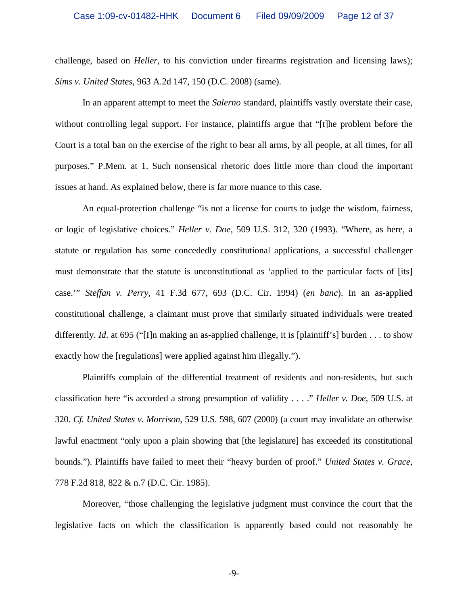challenge, based on *Heller*, to his conviction under firearms registration and licensing laws); *Sims v. United States*, 963 A.2d 147, 150 (D.C. 2008) (same).

 In an apparent attempt to meet the *Salerno* standard, plaintiffs vastly overstate their case, without controlling legal support. For instance, plaintiffs argue that "[t]he problem before the Court is a total ban on the exercise of the right to bear all arms, by all people, at all times, for all purposes." P.Mem. at 1. Such nonsensical rhetoric does little more than cloud the important issues at hand. As explained below, there is far more nuance to this case.

An equal-protection challenge "is not a license for courts to judge the wisdom, fairness, or logic of legislative choices." *Heller v. Doe*, 509 U.S. 312, 320 (1993). "Where, as here, a statute or regulation has some concededly constitutional applications, a successful challenger must demonstrate that the statute is unconstitutional as 'applied to the particular facts of [its] case.'" *Steffan v. Perry*, 41 F.3d 677, 693 (D.C. Cir. 1994) (*en banc*). In an as-applied constitutional challenge, a claimant must prove that similarly situated individuals were treated differently. *Id*. at 695 ("[I]n making an as-applied challenge, it is [plaintiff's] burden . . . to show exactly how the [regulations] were applied against him illegally.").

Plaintiffs complain of the differential treatment of residents and non-residents, but such classification here "is accorded a strong presumption of validity . . . ." *Heller v. Doe*, 509 U.S. at 320. *Cf. United States v. Morrison*, 529 U.S. 598, 607 (2000) (a court may invalidate an otherwise lawful enactment "only upon a plain showing that [the legislature] has exceeded its constitutional bounds."). Plaintiffs have failed to meet their "heavy burden of proof." *United States v. Grace*, 778 F.2d 818, 822 & n.7 (D.C. Cir. 1985).

Moreover, "those challenging the legislative judgment must convince the court that the legislative facts on which the classification is apparently based could not reasonably be

-9-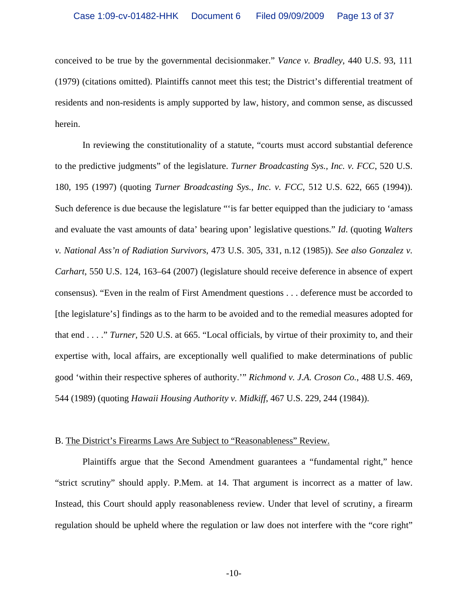conceived to be true by the governmental decisionmaker." *Vance v. Bradley*, 440 U.S. 93, 111 (1979) (citations omitted). Plaintiffs cannot meet this test; the District's differential treatment of residents and non-residents is amply supported by law, history, and common sense, as discussed herein.

 In reviewing the constitutionality of a statute, "courts must accord substantial deference to the predictive judgments" of the legislature. *Turner Broadcasting Sys., Inc. v. FCC*, 520 U.S. 180, 195 (1997) (quoting *Turner Broadcasting Sys., Inc. v. FCC*, 512 U.S. 622, 665 (1994)). Such deference is due because the legislature ""is far better equipped than the judiciary to 'amass' and evaluate the vast amounts of data' bearing upon' legislative questions." *Id*. (quoting *Walters v. National Ass'n of Radiation Survivors*, 473 U.S. 305, 331, n.12 (1985)). *See also Gonzalez v. Carhart*, 550 U.S. 124, 163–64 (2007) (legislature should receive deference in absence of expert consensus). "Even in the realm of First Amendment questions . . . deference must be accorded to [the legislature's] findings as to the harm to be avoided and to the remedial measures adopted for that end . . . ." *Turner*, 520 U.S. at 665. "Local officials, by virtue of their proximity to, and their expertise with, local affairs, are exceptionally well qualified to make determinations of public good 'within their respective spheres of authority.'" *Richmond v. J.A. Croson Co.*, 488 U.S. 469, 544 (1989) (quoting *Hawaii Housing Authority v. Midkiff*, 467 U.S. 229, 244 (1984)).

### B. The District's Firearms Laws Are Subject to "Reasonableness" Review.

 Plaintiffs argue that the Second Amendment guarantees a "fundamental right," hence "strict scrutiny" should apply. P.Mem. at 14. That argument is incorrect as a matter of law. Instead, this Court should apply reasonableness review. Under that level of scrutiny, a firearm regulation should be upheld where the regulation or law does not interfere with the "core right"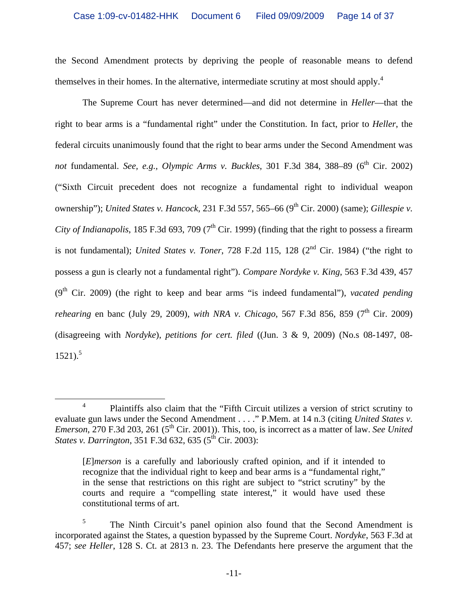the Second Amendment protects by depriving the people of reasonable means to defend themselves in their homes. In the alternative, intermediate scrutiny at most should apply.<sup>4</sup>

The Supreme Court has never determined—and did not determine in *Heller*—that the right to bear arms is a "fundamental right" under the Constitution. In fact, prior to *Heller*, the federal circuits unanimously found that the right to bear arms under the Second Amendment was not fundamental. *See, e.g., Olympic Arms v. Buckles*, 301 F.3d 384, 388-89 (6<sup>th</sup> Cir. 2002) ("Sixth Circuit precedent does not recognize a fundamental right to individual weapon ownership"); *United States v. Hancock*, 231 F.3d 557, 565–66 (9<sup>th</sup> Cir. 2000) (same); *Gillespie v. City of Indianapolis*, 185 F.3d 693, 709 ( $7<sup>th</sup>$  Cir. 1999) (finding that the right to possess a firearm is not fundamental); *United States v. Toner*, 728 F.2d 115, 128 (2<sup>nd</sup> Cir. 1984) ("the right to possess a gun is clearly not a fundamental right"). *Compare Nordyke v. King*, 563 F.3d 439, 457 (9<sup>th</sup> Cir. 2009) (the right to keep and bear arms "is indeed fundamental"), *vacated pending rehearing en banc (July 29, 2009), with NRA v. Chicago, 567 F.3d 856, 859 (7<sup>th</sup> Cir. 2009)* (disagreeing with *Nordyke*), *petitions for cert. filed* ((Jun. 3 & 9, 2009) (No.s 08-1497, 08-  $1521$ .<sup>5</sup>

 $\overline{4}$ <sup>4</sup> Plaintiffs also claim that the "Fifth Circuit utilizes a version of strict scrutiny to evaluate gun laws under the Second Amendment . . . ." P.Mem. at 14 n.3 (citing *United States v. Emerson*, 270 F.3d 203, 261 (5<sup>th</sup> Cir. 2001)). This, too, is incorrect as a matter of law. *See United States v. Darrington,* 351 F.3d 632, 635 (5<sup>th</sup> Cir. 2003):

<sup>[</sup>*E*]*merson* is a carefully and laboriously crafted opinion, and if it intended to recognize that the individual right to keep and bear arms is a "fundamental right," in the sense that restrictions on this right are subject to "strict scrutiny" by the courts and require a "compelling state interest," it would have used these constitutional terms of art.

<sup>5</sup> The Ninth Circuit's panel opinion also found that the Second Amendment is incorporated against the States, a question bypassed by the Supreme Court. *Nordyke*, 563 F.3d at 457; *see Heller*, 128 S. Ct. at 2813 n. 23. The Defendants here preserve the argument that the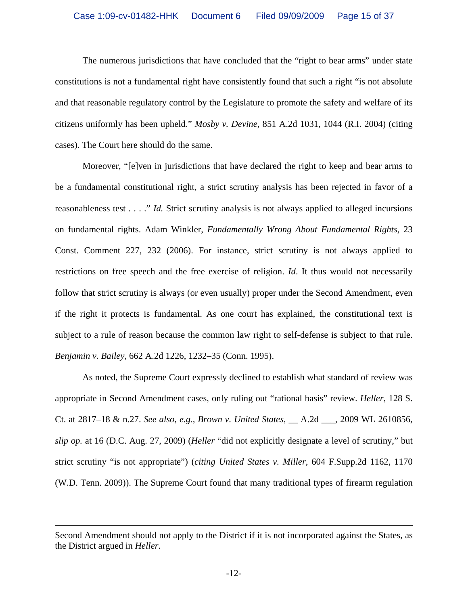The numerous jurisdictions that have concluded that the "right to bear arms" under state constitutions is not a fundamental right have consistently found that such a right "is not absolute and that reasonable regulatory control by the Legislature to promote the safety and welfare of its citizens uniformly has been upheld." *Mosby v. Devine*, 851 A.2d 1031, 1044 (R.I. 2004) (citing cases). The Court here should do the same.

 Moreover, "[e]ven in jurisdictions that have declared the right to keep and bear arms to be a fundamental constitutional right, a strict scrutiny analysis has been rejected in favor of a reasonableness test . . . ." *Id.* Strict scrutiny analysis is not always applied to alleged incursions on fundamental rights. Adam Winkler, *Fundamentally Wrong About Fundamental Rights*, 23 Const. Comment 227, 232 (2006). For instance, strict scrutiny is not always applied to restrictions on free speech and the free exercise of religion. *Id*. It thus would not necessarily follow that strict scrutiny is always (or even usually) proper under the Second Amendment, even if the right it protects is fundamental. As one court has explained, the constitutional text is subject to a rule of reason because the common law right to self-defense is subject to that rule. *Benjamin v. Bailey*, 662 A.2d 1226, 1232–35 (Conn. 1995).

As noted, the Supreme Court expressly declined to establish what standard of review was appropriate in Second Amendment cases, only ruling out "rational basis" review. *Heller*, 128 S. Ct. at 2817–18 & n.27. *See also, e.g., Brown v. United States*, \_\_ A.2d \_\_\_, 2009 WL 2610856, *slip op.* at 16 (D.C. Aug. 27, 2009) (*Heller* "did not explicitly designate a level of scrutiny," but strict scrutiny "is not appropriate") (*citing United States v. Miller*, 604 F.Supp.2d 1162, 1170 (W.D. Tenn. 2009)). The Supreme Court found that many traditional types of firearm regulation

 $\overline{a}$ 

Second Amendment should not apply to the District if it is not incorporated against the States, as the District argued in *Heller*.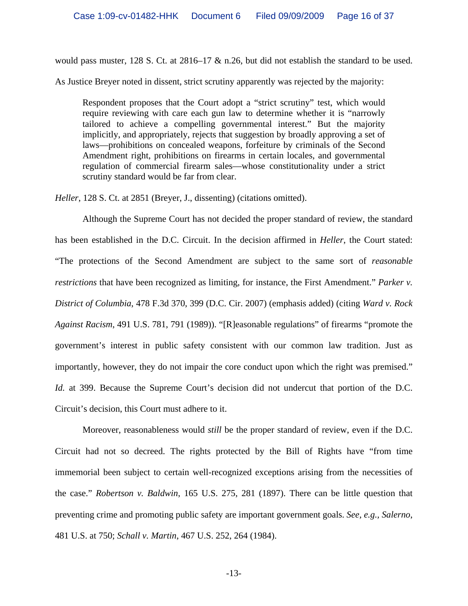would pass muster, 128 S. Ct. at 2816–17 & n.26, but did not establish the standard to be used.

As Justice Breyer noted in dissent, strict scrutiny apparently was rejected by the majority:

Respondent proposes that the Court adopt a "strict scrutiny" test, which would require reviewing with care each gun law to determine whether it is "narrowly tailored to achieve a compelling governmental interest." But the majority implicitly, and appropriately, rejects that suggestion by broadly approving a set of laws—prohibitions on concealed weapons, forfeiture by criminals of the Second Amendment right, prohibitions on firearms in certain locales, and governmental regulation of commercial firearm sales—whose constitutionality under a strict scrutiny standard would be far from clear.

*Heller*, 128 S. Ct. at 2851 (Breyer, J., dissenting) (citations omitted).

Although the Supreme Court has not decided the proper standard of review, the standard has been established in the D.C. Circuit. In the decision affirmed in *Heller*, the Court stated: "The protections of the Second Amendment are subject to the same sort of *reasonable restrictions* that have been recognized as limiting, for instance, the First Amendment." *Parker v. District of Columbia*, 478 F.3d 370, 399 (D.C. Cir. 2007) (emphasis added) (citing *Ward v. Rock Against Racism*, 491 U.S. 781, 791 (1989)). "[R]easonable regulations" of firearms "promote the government's interest in public safety consistent with our common law tradition. Just as importantly, however, they do not impair the core conduct upon which the right was premised." *Id.* at 399. Because the Supreme Court's decision did not undercut that portion of the D.C. Circuit's decision, this Court must adhere to it.

Moreover, reasonableness would *still* be the proper standard of review, even if the D.C. Circuit had not so decreed. The rights protected by the Bill of Rights have "from time immemorial been subject to certain well-recognized exceptions arising from the necessities of the case." *Robertson v. Baldwin*, 165 U.S. 275, 281 (1897). There can be little question that preventing crime and promoting public safety are important government goals. *See, e.g., Salerno*, 481 U.S. at 750; *Schall v. Martin*, 467 U.S. 252, 264 (1984).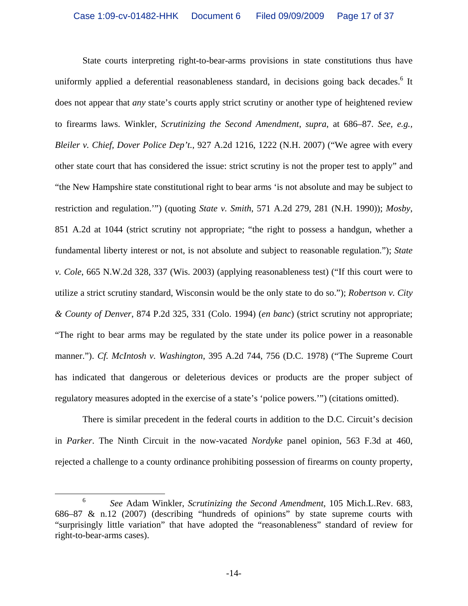State courts interpreting right-to-bear-arms provisions in state constitutions thus have uniformly applied a deferential reasonableness standard, in decisions going back decades.<sup>6</sup> It does not appear that *any* state's courts apply strict scrutiny or another type of heightened review to firearms laws. Winkler, *Scrutinizing the Second Amendment*, *supra*, at 686–87. *See, e.g., Bleiler v. Chief, Dover Police Dep't.*, 927 A.2d 1216, 1222 (N.H. 2007) ("We agree with every other state court that has considered the issue: strict scrutiny is not the proper test to apply" and "the New Hampshire state constitutional right to bear arms 'is not absolute and may be subject to restriction and regulation.'") (quoting *State v. Smith*, 571 A.2d 279, 281 (N.H. 1990)); *Mosby*, 851 A.2d at 1044 (strict scrutiny not appropriate; "the right to possess a handgun, whether a fundamental liberty interest or not, is not absolute and subject to reasonable regulation."); *State v. Cole*, 665 N.W.2d 328, 337 (Wis. 2003) (applying reasonableness test) ("If this court were to utilize a strict scrutiny standard, Wisconsin would be the only state to do so."); *Robertson v. City & County of Denver*, 874 P.2d 325, 331 (Colo. 1994) (*en banc*) (strict scrutiny not appropriate; "The right to bear arms may be regulated by the state under its police power in a reasonable manner."). *Cf. McIntosh v. Washington*, 395 A.2d 744, 756 (D.C. 1978) ("The Supreme Court has indicated that dangerous or deleterious devices or products are the proper subject of regulatory measures adopted in the exercise of a state's 'police powers.'") (citations omitted).

There is similar precedent in the federal courts in addition to the D.C. Circuit's decision in *Parker*. The Ninth Circuit in the now-vacated *Nordyke* panel opinion, 563 F.3d at 460, rejected a challenge to a county ordinance prohibiting possession of firearms on county property,

 <sup>6</sup> *See* Adam Winkler, *Scrutinizing the Second Amendment*, 105 Mich.L.Rev. 683, 686–87 & n.12 (2007) (describing "hundreds of opinions" by state supreme courts with "surprisingly little variation" that have adopted the "reasonableness" standard of review for right-to-bear-arms cases).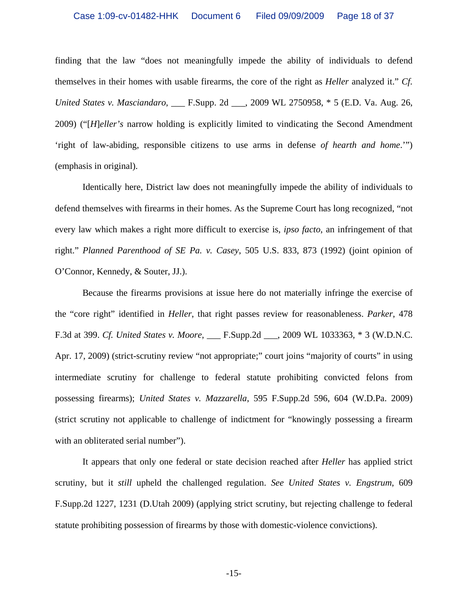finding that the law "does not meaningfully impede the ability of individuals to defend themselves in their homes with usable firearms, the core of the right as *Heller* analyzed it." *Cf. United States v. Masciandaro*, \_\_\_ F.Supp. 2d \_\_\_, 2009 WL 2750958, \* 5 (E.D. Va. Aug. 26, 2009) ("[*H*]*eller's* narrow holding is explicitly limited to vindicating the Second Amendment 'right of law-abiding, responsible citizens to use arms in defense *of hearth and home*.'") (emphasis in original).

Identically here, District law does not meaningfully impede the ability of individuals to defend themselves with firearms in their homes. As the Supreme Court has long recognized, "not every law which makes a right more difficult to exercise is, *ipso facto*, an infringement of that right." *Planned Parenthood of SE Pa. v. Casey*, 505 U.S. 833, 873 (1992) (joint opinion of O'Connor, Kennedy, & Souter, JJ.).

Because the firearms provisions at issue here do not materially infringe the exercise of the "core right" identified in *Heller*, that right passes review for reasonableness. *Parker*, 478 F.3d at 399. *Cf. United States v. Moore*, \_\_\_ F.Supp.2d \_\_\_, 2009 WL 1033363, \* 3 (W.D.N.C. Apr. 17, 2009) (strict-scrutiny review "not appropriate;" court joins "majority of courts" in using intermediate scrutiny for challenge to federal statute prohibiting convicted felons from possessing firearms); *United States v. Mazzarella*, 595 F.Supp.2d 596, 604 (W.D.Pa. 2009) (strict scrutiny not applicable to challenge of indictment for "knowingly possessing a firearm with an obliterated serial number".

It appears that only one federal or state decision reached after *Heller* has applied strict scrutiny, but it *still* upheld the challenged regulation. *See United States v. Engstrum*, 609 F.Supp.2d 1227, 1231 (D.Utah 2009) (applying strict scrutiny, but rejecting challenge to federal statute prohibiting possession of firearms by those with domestic-violence convictions).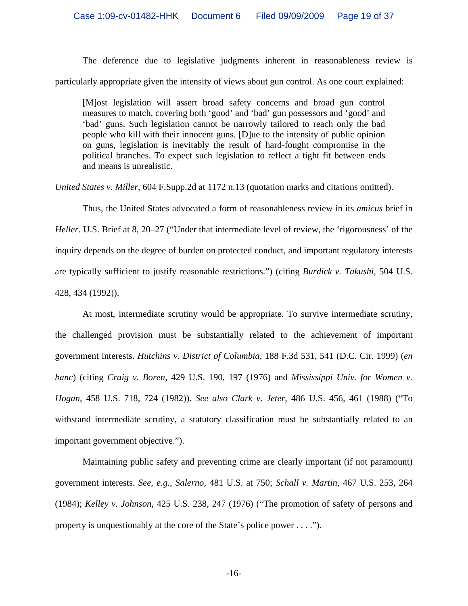The deference due to legislative judgments inherent in reasonableness review is particularly appropriate given the intensity of views about gun control. As one court explained:

[M]ost legislation will assert broad safety concerns and broad gun control measures to match, covering both 'good' and 'bad' gun possessors and 'good' and 'bad' guns. Such legislation cannot be narrowly tailored to reach only the bad people who kill with their innocent guns. [D]ue to the intensity of public opinion on guns, legislation is inevitably the result of hard-fought compromise in the political branches. To expect such legislation to reflect a tight fit between ends and means is unrealistic.

*United States v. Miller*, 604 F.Supp.2d at 1172 n.13 (quotation marks and citations omitted).

Thus, the United States advocated a form of reasonableness review in its *amicus* brief in *Heller*. U.S. Brief at 8, 20–27 ("Under that intermediate level of review, the 'rigorousness' of the inquiry depends on the degree of burden on protected conduct, and important regulatory interests are typically sufficient to justify reasonable restrictions.") (citing *Burdick v. Takushi*, 504 U.S. 428, 434 (1992)).

At most, intermediate scrutiny would be appropriate. To survive intermediate scrutiny, the challenged provision must be substantially related to the achievement of important government interests. *Hutchins v. District of Columbia*, 188 F.3d 531, 541 (D.C. Cir. 1999) (*en banc*) (citing *Craig v. Boren*, 429 U.S. 190, 197 (1976) and *Mississippi Univ. for Women v. Hogan*, 458 U.S. 718, 724 (1982)). *See also Clark v. Jeter*, 486 U.S. 456, 461 (1988) ("To withstand intermediate scrutiny, a statutory classification must be substantially related to an important government objective.").

Maintaining public safety and preventing crime are clearly important (if not paramount) government interests. *See, e.g., Salerno*, 481 U.S. at 750; *Schall v. Martin*, 467 U.S. 253, 264 (1984); *Kelley v. Johnson*, 425 U.S. 238, 247 (1976) ("The promotion of safety of persons and property is unquestionably at the core of the State's police power . . . .").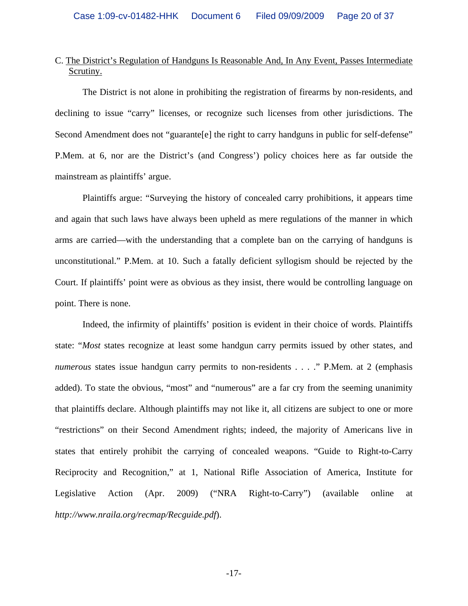## C. The District's Regulation of Handguns Is Reasonable And, In Any Event, Passes Intermediate Scrutiny.

The District is not alone in prohibiting the registration of firearms by non-residents, and declining to issue "carry" licenses, or recognize such licenses from other jurisdictions. The Second Amendment does not "guarante[e] the right to carry handguns in public for self-defense" P.Mem. at 6, nor are the District's (and Congress') policy choices here as far outside the mainstream as plaintiffs' argue.

Plaintiffs argue: "Surveying the history of concealed carry prohibitions, it appears time and again that such laws have always been upheld as mere regulations of the manner in which arms are carried—with the understanding that a complete ban on the carrying of handguns is unconstitutional." P.Mem. at 10. Such a fatally deficient syllogism should be rejected by the Court. If plaintiffs' point were as obvious as they insist, there would be controlling language on point. There is none.

Indeed, the infirmity of plaintiffs' position is evident in their choice of words. Plaintiffs state: "*Most* states recognize at least some handgun carry permits issued by other states, and *numerous* states issue handgun carry permits to non-residents . . . ." P.Mem. at 2 (emphasis added). To state the obvious, "most" and "numerous" are a far cry from the seeming unanimity that plaintiffs declare. Although plaintiffs may not like it, all citizens are subject to one or more "restrictions" on their Second Amendment rights; indeed, the majority of Americans live in states that entirely prohibit the carrying of concealed weapons. "Guide to Right-to-Carry Reciprocity and Recognition," at 1, National Rifle Association of America, Institute for Legislative Action (Apr. 2009) ("NRA Right-to-Carry") (available online at *http://www.nraila.org/recmap/Recguide.pdf*).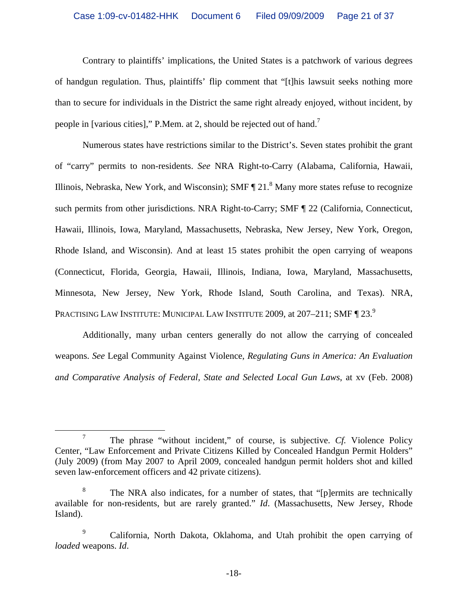Contrary to plaintiffs' implications, the United States is a patchwork of various degrees of handgun regulation. Thus, plaintiffs' flip comment that "[t]his lawsuit seeks nothing more than to secure for individuals in the District the same right already enjoyed, without incident, by people in [various cities]," P.Mem. at 2, should be rejected out of hand.7

Numerous states have restrictions similar to the District's. Seven states prohibit the grant of "carry" permits to non-residents. *See* NRA Right-to-Carry (Alabama, California, Hawaii, Illinois, Nebraska, New York, and Wisconsin); SMF  $\P$  21.<sup>8</sup> Many more states refuse to recognize such permits from other jurisdictions. NRA Right-to-Carry; SMF ¶ 22 (California, Connecticut, Hawaii, Illinois, Iowa, Maryland, Massachusetts, Nebraska, New Jersey, New York, Oregon, Rhode Island, and Wisconsin). And at least 15 states prohibit the open carrying of weapons (Connecticut, Florida, Georgia, Hawaii, Illinois, Indiana, Iowa, Maryland, Massachusetts, Minnesota, New Jersey, New York, Rhode Island, South Carolina, and Texas). NRA, PRACTISING LAW INSTITUTE: MUNICIPAL LAW INSTITUTE 2009, at 207-211; SMF ¶ 23.<sup>9</sup>

Additionally, many urban centers generally do not allow the carrying of concealed weapons. *See* Legal Community Against Violence, *Regulating Guns in America: An Evaluation and Comparative Analysis of Federal, State and Selected Local Gun Laws*, at xv (Feb. 2008)

 $\overline{7}$  The phrase "without incident," of course, is subjective. *Cf.* Violence Policy Center, "Law Enforcement and Private Citizens Killed by Concealed Handgun Permit Holders" (July 2009) (from May 2007 to April 2009, concealed handgun permit holders shot and killed seven law-enforcement officers and 42 private citizens).

<sup>8</sup> The NRA also indicates, for a number of states, that "[p]ermits are technically available for non-residents, but are rarely granted." *Id*. (Massachusetts, New Jersey, Rhode Island).

<sup>9</sup> California, North Dakota, Oklahoma, and Utah prohibit the open carrying of *loaded* weapons. *Id*.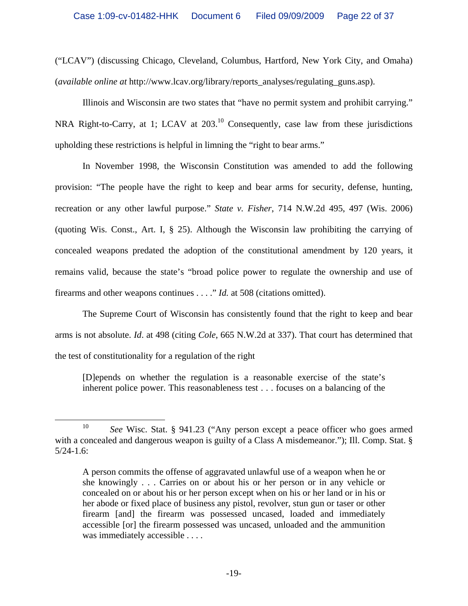("LCAV") (discussing Chicago, Cleveland, Columbus, Hartford, New York City, and Omaha) (*available online at* http://www.lcav.org/library/reports\_analyses/regulating\_guns.asp).

Illinois and Wisconsin are two states that "have no permit system and prohibit carrying." NRA Right-to-Carry, at 1; LCAV at 203.<sup>10</sup> Consequently, case law from these jurisdictions upholding these restrictions is helpful in limning the "right to bear arms."

In November 1998, the Wisconsin Constitution was amended to add the following provision: "The people have the right to keep and bear arms for security, defense, hunting, recreation or any other lawful purpose." *State v. Fisher*, 714 N.W.2d 495, 497 (Wis. 2006) (quoting Wis. Const., Art. I, § 25). Although the Wisconsin law prohibiting the carrying of concealed weapons predated the adoption of the constitutional amendment by 120 years, it remains valid, because the state's "broad police power to regulate the ownership and use of firearms and other weapons continues . . . ." *Id.* at 508 (citations omitted).

The Supreme Court of Wisconsin has consistently found that the right to keep and bear arms is not absolute. *Id*. at 498 (citing *Cole*, 665 N.W.2d at 337). That court has determined that the test of constitutionality for a regulation of the right

[D]epends on whether the regulation is a reasonable exercise of the state's inherent police power. This reasonableness test . . . focuses on a balancing of the

 <sup>10</sup> *See* Wisc. Stat. § 941.23 ("Any person except a peace officer who goes armed with a concealed and dangerous weapon is guilty of a Class A misdemeanor."); Ill. Comp. Stat. § 5/24-1.6:

A person commits the offense of aggravated unlawful use of a weapon when he or she knowingly . . . Carries on or about his or her person or in any vehicle or concealed on or about his or her person except when on his or her land or in his or her abode or fixed place of business any pistol, revolver, stun gun or taser or other firearm [and] the firearm was possessed uncased, loaded and immediately accessible [or] the firearm possessed was uncased, unloaded and the ammunition was immediately accessible . . . .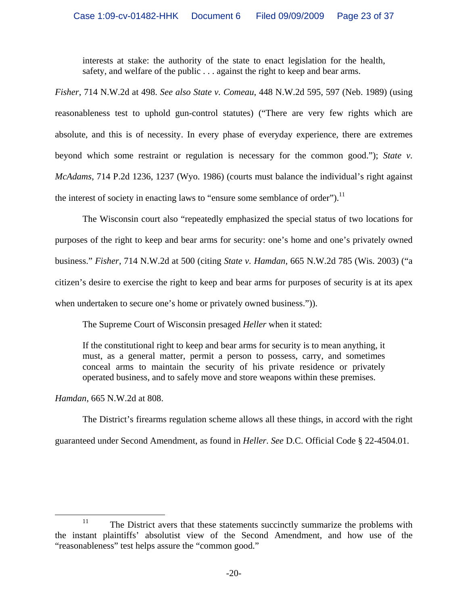interests at stake: the authority of the state to enact legislation for the health, safety, and welfare of the public . . . against the right to keep and bear arms.

*Fisher*, 714 N.W.2d at 498. *See also State v. Comeau*, 448 N.W.2d 595, 597 (Neb. 1989) (using reasonableness test to uphold gun-control statutes) ("There are very few rights which are absolute, and this is of necessity. In every phase of everyday experience, there are extremes beyond which some restraint or regulation is necessary for the common good."); *State v. McAdams*, 714 P.2d 1236, 1237 (Wyo. 1986) (courts must balance the individual's right against the interest of society in enacting laws to "ensure some semblance of order").<sup>11</sup>

The Wisconsin court also "repeatedly emphasized the special status of two locations for purposes of the right to keep and bear arms for security: one's home and one's privately owned business." *Fisher*, 714 N.W.2d at 500 (citing *State v. Hamdan*, 665 N.W.2d 785 (Wis. 2003) ("a citizen's desire to exercise the right to keep and bear arms for purposes of security is at its apex when undertaken to secure one's home or privately owned business.")).

The Supreme Court of Wisconsin presaged *Heller* when it stated:

If the constitutional right to keep and bear arms for security is to mean anything, it must, as a general matter, permit a person to possess, carry, and sometimes conceal arms to maintain the security of his private residence or privately operated business, and to safely move and store weapons within these premises.

*Hamdan*, 665 N.W.2d at 808.

The District's firearms regulation scheme allows all these things, in accord with the right guaranteed under Second Amendment, as found in *Heller*. *See* D.C. Official Code § 22-4504.01.

<sup>&</sup>lt;sup>11</sup> The District avers that these statements succinctly summarize the problems with the instant plaintiffs' absolutist view of the Second Amendment, and how use of the "reasonableness" test helps assure the "common good."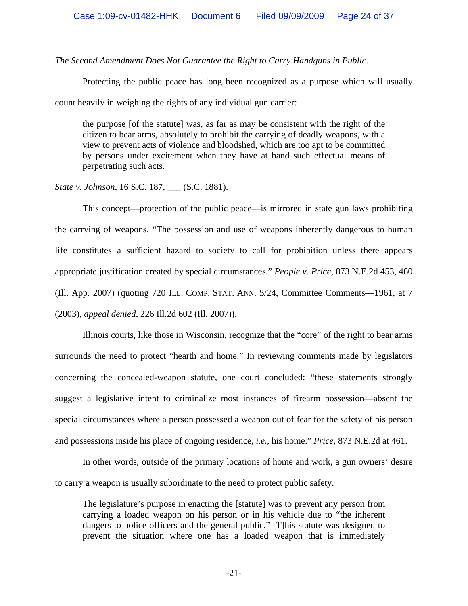*The Second Amendment Does Not Guarantee the Right to Carry Handguns in Public.* 

 Protecting the public peace has long been recognized as a purpose which will usually count heavily in weighing the rights of any individual gun carrier:

the purpose [of the statute] was, as far as may be consistent with the right of the citizen to bear arms, absolutely to prohibit the carrying of deadly weapons, with a view to prevent acts of violence and bloodshed, which are too apt to be committed by persons under excitement when they have at hand such effectual means of perpetrating such acts.

*State v. Johnson*, 16 S.C. 187, \_\_\_ (S.C. 1881).

This concept—protection of the public peace—is mirrored in state gun laws prohibiting the carrying of weapons. "The possession and use of weapons inherently dangerous to human life constitutes a sufficient hazard to society to call for prohibition unless there appears appropriate justification created by special circumstances." *People v. Price*, 873 N.E.2d 453, 460 (Ill. App. 2007) (quoting 720 ILL. COMP. STAT. ANN. 5/24, Committee Comments—1961, at 7 (2003), *appeal denied*, 226 Ill.2d 602 (Ill. 2007)).

Illinois courts, like those in Wisconsin, recognize that the "core" of the right to bear arms surrounds the need to protect "hearth and home." In reviewing comments made by legislators concerning the concealed-weapon statute, one court concluded: "these statements strongly suggest a legislative intent to criminalize most instances of firearm possession—absent the special circumstances where a person possessed a weapon out of fear for the safety of his person and possessions inside his place of ongoing residence, *i.e.*, his home." *Price*, 873 N.E.2d at 461.

In other words, outside of the primary locations of home and work, a gun owners' desire to carry a weapon is usually subordinate to the need to protect public safety.

The legislature's purpose in enacting the [statute] was to prevent any person from carrying a loaded weapon on his person or in his vehicle due to "the inherent dangers to police officers and the general public." [T]his statute was designed to prevent the situation where one has a loaded weapon that is immediately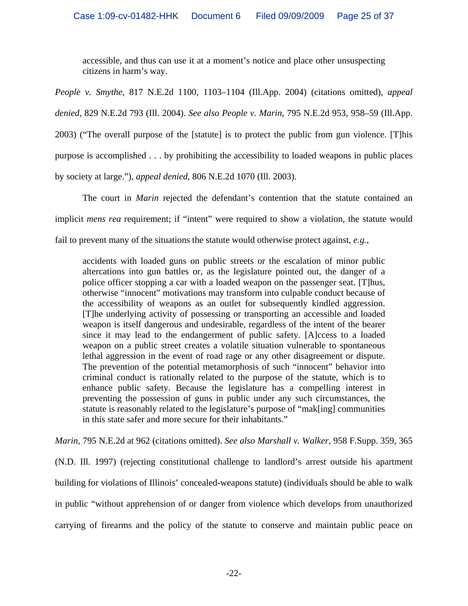accessible, and thus can use it at a moment's notice and place other unsuspecting citizens in harm's way.

*People v. Smythe*, 817 N.E.2d 1100, 1103–1104 (Ill.App. 2004) (citations omitted), *appeal denied*, 829 N.E.2d 793 (Ill. 2004). *See also People v. Marin*, 795 N.E.2d 953, 958–59 (Ill.App. 2003) ("The overall purpose of the [statute] is to protect the public from gun violence. [T]his purpose is accomplished . . . by prohibiting the accessibility to loaded weapons in public places by society at large."), *appeal denied*, 806 N.E.2d 1070 (Ill. 2003).

The court in *Marin* rejected the defendant's contention that the statute contained an implicit *mens rea* requirement; if "intent" were required to show a violation, the statute would fail to prevent many of the situations the statute would otherwise protect against, *e.g.*,

accidents with loaded guns on public streets or the escalation of minor public altercations into gun battles or, as the legislature pointed out, the danger of a police officer stopping a car with a loaded weapon on the passenger seat. [T]hus, otherwise "innocent" motivations may transform into culpable conduct because of the accessibility of weapons as an outlet for subsequently kindled aggression. [T]he underlying activity of possessing or transporting an accessible and loaded weapon is itself dangerous and undesirable, regardless of the intent of the bearer since it may lead to the endangerment of public safety. [A]ccess to a loaded weapon on a public street creates a volatile situation vulnerable to spontaneous lethal aggression in the event of road rage or any other disagreement or dispute. The prevention of the potential metamorphosis of such "innocent" behavior into criminal conduct is rationally related to the purpose of the statute, which is to enhance public safety. Because the legislature has a compelling interest in preventing the possession of guns in public under any such circumstances, the statute is reasonably related to the legislature's purpose of "mak[ing] communities in this state safer and more secure for their inhabitants."

*Marin*, 795 N.E.2d at 962 (citations omitted). *See also Marshall v. Walker*, 958 F.Supp. 359, 365 (N.D. Ill. 1997) (rejecting constitutional challenge to landlord's arrest outside his apartment building for violations of Illinois' concealed-weapons statute) (individuals should be able to walk in public "without apprehension of or danger from violence which develops from unauthorized carrying of firearms and the policy of the statute to conserve and maintain public peace on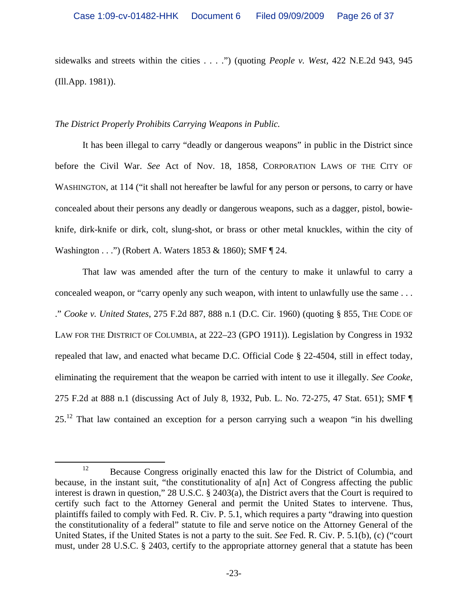sidewalks and streets within the cities . . . .") (quoting *People v. West*, 422 N.E.2d 943, 945 (Ill.App. 1981)).

# *The District Properly Prohibits Carrying Weapons in Public.*

It has been illegal to carry "deadly or dangerous weapons" in public in the District since before the Civil War. *See* Act of Nov. 18, 1858, CORPORATION LAWS OF THE CITY OF WASHINGTON, at 114 ("it shall not hereafter be lawful for any person or persons, to carry or have concealed about their persons any deadly or dangerous weapons, such as a dagger, pistol, bowieknife, dirk-knife or dirk, colt, slung-shot, or brass or other metal knuckles, within the city of Washington . . .") (Robert A. Waters 1853 & 1860); SMF [24.

That law was amended after the turn of the century to make it unlawful to carry a concealed weapon, or "carry openly any such weapon, with intent to unlawfully use the same . . . ." *Cooke v. United States*, 275 F.2d 887, 888 n.1 (D.C. Cir. 1960) (quoting § 855, THE CODE OF LAW FOR THE DISTRICT OF COLUMBIA, at 222–23 (GPO 1911)). Legislation by Congress in 1932 repealed that law, and enacted what became D.C. Official Code § 22-4504, still in effect today, eliminating the requirement that the weapon be carried with intent to use it illegally. *See Cooke*, 275 F.2d at 888 n.1 (discussing Act of July 8, 1932, Pub. L. No. 72-275, 47 Stat. 651); SMF ¶  $25<sup>12</sup>$  That law contained an exception for a person carrying such a weapon "in his dwelling"

<sup>&</sup>lt;sup>12</sup> Because Congress originally enacted this law for the District of Columbia, and because, in the instant suit, "the constitutionality of a[n] Act of Congress affecting the public interest is drawn in question," 28 U.S.C. § 2403(a), the District avers that the Court is required to certify such fact to the Attorney General and permit the United States to intervene. Thus, plaintiffs failed to comply with Fed. R. Civ. P. 5.1, which requires a party "drawing into question the constitutionality of a federal" statute to file and serve notice on the Attorney General of the United States, if the United States is not a party to the suit. *See* Fed. R. Civ. P. 5.1(b), (c) ("court must, under 28 U.S.C. § 2403, certify to the appropriate attorney general that a statute has been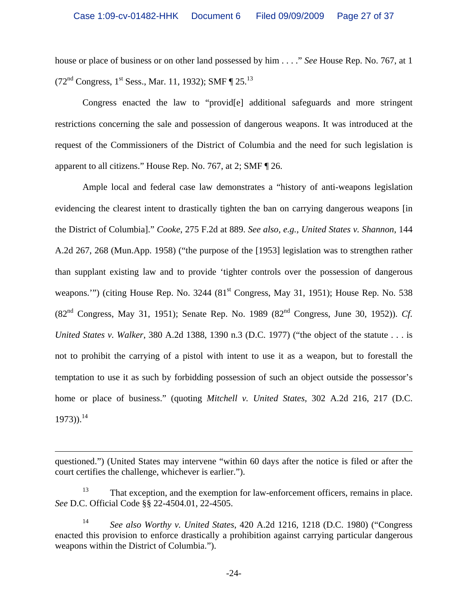house or place of business or on other land possessed by him . . . ." *See* House Rep. No. 767, at 1  $(72<sup>nd</sup> Congress, 1<sup>st</sup> Sess., Mar. 11, 1932); SMF  $\P 25$ .<sup>13</sup>$ 

Congress enacted the law to "provid[e] additional safeguards and more stringent restrictions concerning the sale and possession of dangerous weapons. It was introduced at the request of the Commissioners of the District of Columbia and the need for such legislation is apparent to all citizens." House Rep. No. 767, at 2; SMF ¶ 26.

Ample local and federal case law demonstrates a "history of anti-weapons legislation evidencing the clearest intent to drastically tighten the ban on carrying dangerous weapons [in the District of Columbia]." *Cooke*, 275 F.2d at 889. *See also, e.g., United States v. Shannon*, 144 A.2d 267, 268 (Mun.App. 1958) ("the purpose of the [1953] legislation was to strengthen rather than supplant existing law and to provide 'tighter controls over the possession of dangerous weapons.'") (citing House Rep. No. 3244 (81<sup>st</sup> Congress, May 31, 1951); House Rep. No. 538 (82nd Congress, May 31, 1951); Senate Rep. No. 1989 (82nd Congress, June 30, 1952)). *Cf. United States v. Walker*, 380 A.2d 1388, 1390 n.3 (D.C. 1977) ("the object of the statute . . . is not to prohibit the carrying of a pistol with intent to use it as a weapon, but to forestall the temptation to use it as such by forbidding possession of such an object outside the possessor's home or place of business." (quoting *Mitchell v. United States*, 302 A.2d 216, 217 (D.C. 1973)).<sup>14</sup>

 $\overline{a}$ 

questioned.") (United States may intervene "within 60 days after the notice is filed or after the court certifies the challenge, whichever is earlier.").

<sup>&</sup>lt;sup>13</sup> That exception, and the exemption for law-enforcement officers, remains in place. *See* D.C. Official Code §§ 22-4504.01, 22-4505.

<sup>14</sup> *See also Worthy v. United States*, 420 A.2d 1216, 1218 (D.C. 1980) ("Congress enacted this provision to enforce drastically a prohibition against carrying particular dangerous weapons within the District of Columbia.").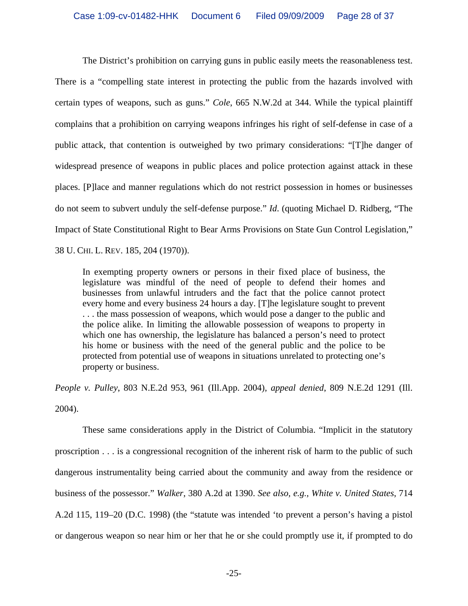The District's prohibition on carrying guns in public easily meets the reasonableness test. There is a "compelling state interest in protecting the public from the hazards involved with certain types of weapons, such as guns." *Cole*, 665 N.W.2d at 344. While the typical plaintiff complains that a prohibition on carrying weapons infringes his right of self-defense in case of a public attack, that contention is outweighed by two primary considerations: "[T]he danger of widespread presence of weapons in public places and police protection against attack in these places. [P]lace and manner regulations which do not restrict possession in homes or businesses do not seem to subvert unduly the self-defense purpose." *Id*. (quoting Michael D. Ridberg, "The Impact of State Constitutional Right to Bear Arms Provisions on State Gun Control Legislation," 38 U. CHI. L. REV. 185, 204 (1970)).

In exempting property owners or persons in their fixed place of business, the legislature was mindful of the need of people to defend their homes and businesses from unlawful intruders and the fact that the police cannot protect every home and every business 24 hours a day. [T]he legislature sought to prevent . . . the mass possession of weapons, which would pose a danger to the public and the police alike. In limiting the allowable possession of weapons to property in which one has ownership, the legislature has balanced a person's need to protect his home or business with the need of the general public and the police to be protected from potential use of weapons in situations unrelated to protecting one's property or business.

*People v. Pulley*, 803 N.E.2d 953, 961 (Ill.App. 2004), *appeal denied*, 809 N.E.2d 1291 (Ill. 2004).

These same considerations apply in the District of Columbia. "Implicit in the statutory proscription . . . is a congressional recognition of the inherent risk of harm to the public of such dangerous instrumentality being carried about the community and away from the residence or business of the possessor." *Walker*, 380 A.2d at 1390. *See also, e.g., White v. United States*, 714 A.2d 115, 119–20 (D.C. 1998) (the "statute was intended 'to prevent a person's having a pistol or dangerous weapon so near him or her that he or she could promptly use it, if prompted to do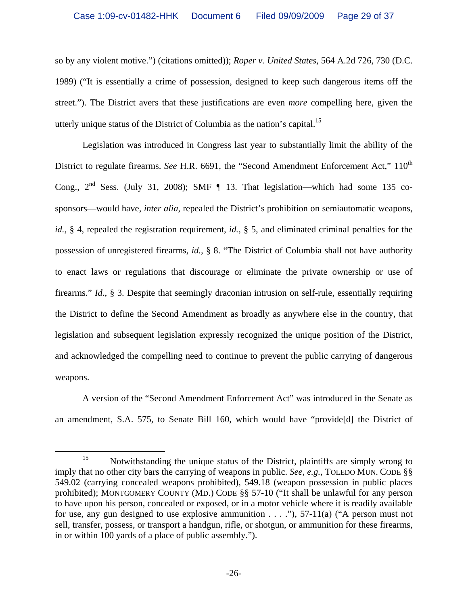so by any violent motive.") (citations omitted)); *Roper v. United States*, 564 A.2d 726, 730 (D.C. 1989) ("It is essentially a crime of possession, designed to keep such dangerous items off the street."). The District avers that these justifications are even *more* compelling here, given the utterly unique status of the District of Columbia as the nation's capital.<sup>15</sup>

Legislation was introduced in Congress last year to substantially limit the ability of the District to regulate firearms. *See* H.R. 6691, the "Second Amendment Enforcement Act," 110<sup>th</sup> Cong.,  $2^{nd}$  Sess. (July 31, 2008); SMF  $\P$  13. That legislation—which had some 135 cosponsors—would have, *inter alia*, repealed the District's prohibition on semiautomatic weapons, *id.,* § 4, repealed the registration requirement, *id.,* § 5, and eliminated criminal penalties for the possession of unregistered firearms, *id.,* § 8. "The District of Columbia shall not have authority to enact laws or regulations that discourage or eliminate the private ownership or use of firearms." *Id*., § 3. Despite that seemingly draconian intrusion on self-rule, essentially requiring the District to define the Second Amendment as broadly as anywhere else in the country, that legislation and subsequent legislation expressly recognized the unique position of the District, and acknowledged the compelling need to continue to prevent the public carrying of dangerous weapons.

A version of the "Second Amendment Enforcement Act" was introduced in the Senate as an amendment, S.A. 575, to Senate Bill 160, which would have "provide[d] the District of

<sup>&</sup>lt;sup>15</sup> Notwithstanding the unique status of the District, plaintiffs are simply wrong to imply that no other city bars the carrying of weapons in public. *See, e.g.*, TOLEDO MUN. CODE §§ 549.02 (carrying concealed weapons prohibited), 549.18 (weapon possession in public places prohibited); MONTGOMERY COUNTY (MD.) CODE §§ 57-10 ("It shall be unlawful for any person to have upon his person, concealed or exposed, or in a motor vehicle where it is readily available for use, any gun designed to use explosive ammunition  $\dots$ "), 57-11(a) ("A person must not sell, transfer, possess, or transport a handgun, rifle, or shotgun, or ammunition for these firearms, in or within 100 yards of a place of public assembly.").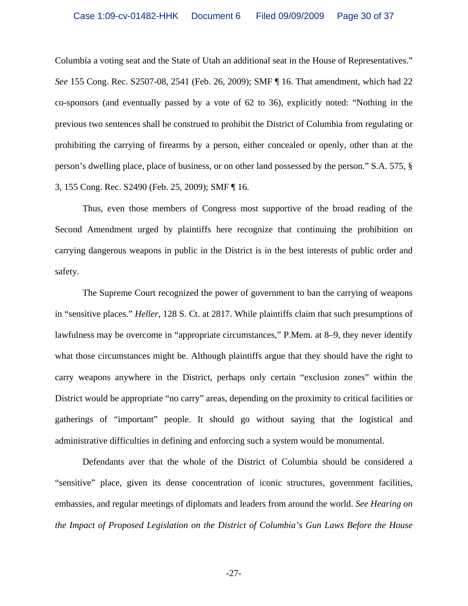Columbia a voting seat and the State of Utah an additional seat in the House of Representatives." *See* 155 Cong. Rec. S2507-08, 2541 (Feb. 26, 2009); SMF ¶ 16. That amendment, which had 22 co-sponsors (and eventually passed by a vote of 62 to 36), explicitly noted: "Nothing in the previous two sentences shall be construed to prohibit the District of Columbia from regulating or prohibiting the carrying of firearms by a person, either concealed or openly, other than at the person's dwelling place, place of business, or on other land possessed by the person." S.A. 575, § 3, 155 Cong. Rec. S2490 (Feb. 25, 2009); SMF ¶ 16.

Thus, even those members of Congress most supportive of the broad reading of the Second Amendment urged by plaintiffs here recognize that continuing the prohibition on carrying dangerous weapons in public in the District is in the best interests of public order and safety.

The Supreme Court recognized the power of government to ban the carrying of weapons in "sensitive places." *Heller*, 128 S. Ct. at 2817. While plaintiffs claim that such presumptions of lawfulness may be overcome in "appropriate circumstances," P.Mem. at 8–9, they never identify what those circumstances might be. Although plaintiffs argue that they should have the right to carry weapons anywhere in the District, perhaps only certain "exclusion zones" within the District would be appropriate "no carry" areas, depending on the proximity to critical facilities or gatherings of "important" people. It should go without saying that the logistical and administrative difficulties in defining and enforcing such a system would be monumental.

Defendants aver that the whole of the District of Columbia should be considered a "sensitive" place, given its dense concentration of iconic structures, government facilities, embassies, and regular meetings of diplomats and leaders from around the world. *See Hearing on the Impact of Proposed Legislation on the District of Columbia's Gun Laws Before the House* 

-27-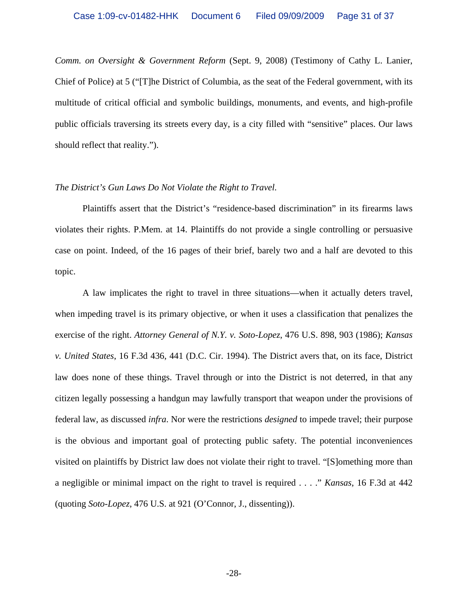*Comm. on Oversight & Government Reform* (Sept. 9, 2008) (Testimony of Cathy L. Lanier, Chief of Police) at 5 ("[T]he District of Columbia, as the seat of the Federal government, with its multitude of critical official and symbolic buildings, monuments, and events, and high-profile public officials traversing its streets every day, is a city filled with "sensitive" places. Our laws should reflect that reality.").

### *The District's Gun Laws Do Not Violate the Right to Travel.*

 Plaintiffs assert that the District's "residence-based discrimination" in its firearms laws violates their rights. P.Mem. at 14. Plaintiffs do not provide a single controlling or persuasive case on point. Indeed, of the 16 pages of their brief, barely two and a half are devoted to this topic.

 A law implicates the right to travel in three situations—when it actually deters travel, when impeding travel is its primary objective, or when it uses a classification that penalizes the exercise of the right. *Attorney General of N.Y. v. Soto-Lopez*, 476 U.S. 898, 903 (1986); *Kansas v. United States*, 16 F.3d 436, 441 (D.C. Cir. 1994). The District avers that, on its face, District law does none of these things. Travel through or into the District is not deterred, in that any citizen legally possessing a handgun may lawfully transport that weapon under the provisions of federal law, as discussed *infra*. Nor were the restrictions *designed* to impede travel; their purpose is the obvious and important goal of protecting public safety. The potential inconveniences visited on plaintiffs by District law does not violate their right to travel. "[S]omething more than a negligible or minimal impact on the right to travel is required . . . ." *Kansas*, 16 F.3d at 442 (quoting *Soto-Lopez*, 476 U.S. at 921 (O'Connor, J., dissenting)).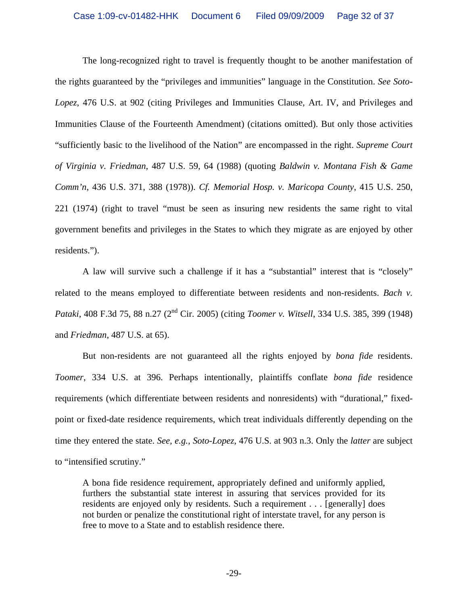The long-recognized right to travel is frequently thought to be another manifestation of the rights guaranteed by the "privileges and immunities" language in the Constitution. *See Soto-Lopez*, 476 U.S. at 902 (citing Privileges and Immunities Clause, Art. IV, and Privileges and Immunities Clause of the Fourteenth Amendment) (citations omitted). But only those activities "sufficiently basic to the livelihood of the Nation" are encompassed in the right. *Supreme Court of Virginia v. Friedman*, 487 U.S. 59, 64 (1988) (quoting *Baldwin v. Montana Fish & Game Comm'n*, 436 U.S. 371, 388 (1978)). *Cf. Memorial Hosp. v. Maricopa County*, 415 U.S. 250, 221 (1974) (right to travel "must be seen as insuring new residents the same right to vital government benefits and privileges in the States to which they migrate as are enjoyed by other residents.").

 A law will survive such a challenge if it has a "substantial" interest that is "closely" related to the means employed to differentiate between residents and non-residents. *Bach v. Pataki*, 408 F.3d 75, 88 n.27 (2<sup>nd</sup> Cir. 2005) (citing *Toomer v. Witsell*, 334 U.S. 385, 399 (1948) and *Friedman*, 487 U.S. at 65).

 But non-residents are not guaranteed all the rights enjoyed by *bona fide* residents. *Toomer*, 334 U.S. at 396. Perhaps intentionally, plaintiffs conflate *bona fide* residence requirements (which differentiate between residents and nonresidents) with "durational," fixedpoint or fixed-date residence requirements, which treat individuals differently depending on the time they entered the state. *See, e.g., Soto-Lopez*, 476 U.S. at 903 n.3. Only the *latter* are subject to "intensified scrutiny."

A bona fide residence requirement, appropriately defined and uniformly applied, furthers the substantial state interest in assuring that services provided for its residents are enjoyed only by residents. Such a requirement . . . [generally] does not burden or penalize the constitutional right of interstate travel, for any person is free to move to a State and to establish residence there.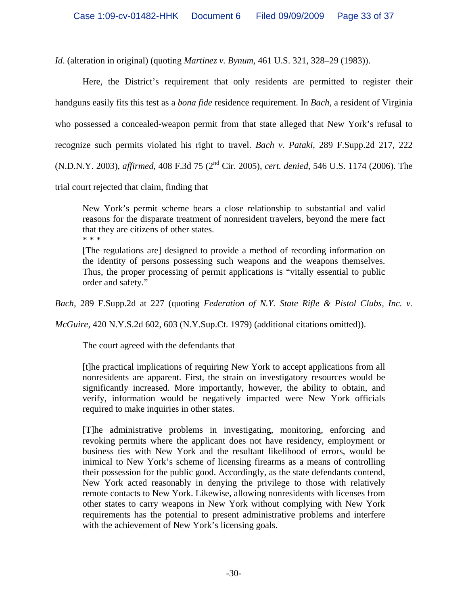*Id*. (alteration in original) (quoting *Martinez v. Bynum*, 461 U.S. 321, 328–29 (1983)).

Here, the District's requirement that only residents are permitted to register their handguns easily fits this test as a *bona fide* residence requirement. In *Bach*, a resident of Virginia who possessed a concealed-weapon permit from that state alleged that New York's refusal to recognize such permits violated his right to travel. *Bach v. Pataki*, 289 F.Supp.2d 217, 222 (N.D.N.Y. 2003), *affirmed*, 408 F.3d 75 (2nd Cir. 2005), *cert. denied*, 546 U.S. 1174 (2006). The

trial court rejected that claim, finding that

New York's permit scheme bears a close relationship to substantial and valid reasons for the disparate treatment of nonresident travelers, beyond the mere fact that they are citizens of other states. \* \* \*

[The regulations are] designed to provide a method of recording information on the identity of persons possessing such weapons and the weapons themselves. Thus, the proper processing of permit applications is "vitally essential to public order and safety."

*Bach*, 289 F.Supp.2d at 227 (quoting *Federation of N.Y. State Rifle & Pistol Clubs, Inc. v.* 

*McGuire*, 420 N.Y.S.2d 602, 603 (N.Y.Sup.Ct. 1979) (additional citations omitted)).

The court agreed with the defendants that

[t]he practical implications of requiring New York to accept applications from all nonresidents are apparent. First, the strain on investigatory resources would be significantly increased. More importantly, however, the ability to obtain, and verify, information would be negatively impacted were New York officials required to make inquiries in other states.

[T]he administrative problems in investigating, monitoring, enforcing and revoking permits where the applicant does not have residency, employment or business ties with New York and the resultant likelihood of errors, would be inimical to New York's scheme of licensing firearms as a means of controlling their possession for the public good. Accordingly, as the state defendants contend, New York acted reasonably in denying the privilege to those with relatively remote contacts to New York. Likewise, allowing nonresidents with licenses from other states to carry weapons in New York without complying with New York requirements has the potential to present administrative problems and interfere with the achievement of New York's licensing goals.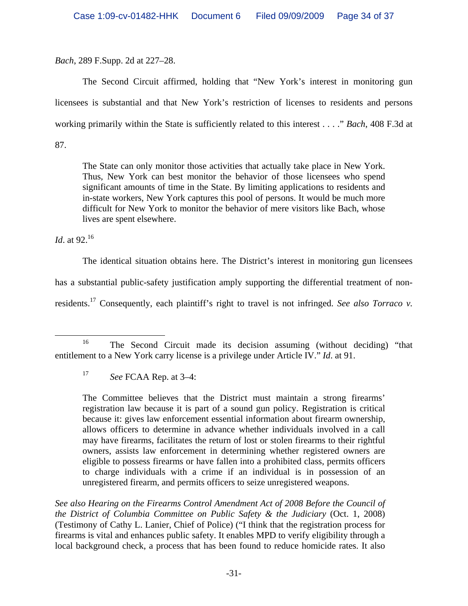*Bach*, 289 F.Supp. 2d at 227–28.

 The Second Circuit affirmed, holding that "New York's interest in monitoring gun licensees is substantial and that New York's restriction of licenses to residents and persons working primarily within the State is sufficiently related to this interest . . . ." *Bach*, 408 F.3d at 87.

The State can only monitor those activities that actually take place in New York. Thus, New York can best monitor the behavior of those licensees who spend significant amounts of time in the State. By limiting applications to residents and in-state workers, New York captures this pool of persons. It would be much more difficult for New York to monitor the behavior of mere visitors like Bach, whose lives are spent elsewhere.

*Id.* at 92.<sup>16</sup>

 The identical situation obtains here. The District's interest in monitoring gun licensees has a substantial public-safety justification amply supporting the differential treatment of nonresidents.17 Consequently, each plaintiff's right to travel is not infringed. *See also Torraco v.* 

The Committee believes that the District must maintain a strong firearms' registration law because it is part of a sound gun policy. Registration is critical because it: gives law enforcement essential information about firearm ownership, allows officers to determine in advance whether individuals involved in a call may have firearms, facilitates the return of lost or stolen firearms to their rightful owners, assists law enforcement in determining whether registered owners are eligible to possess firearms or have fallen into a prohibited class, permits officers to charge individuals with a crime if an individual is in possession of an unregistered firearm, and permits officers to seize unregistered weapons.

*See also Hearing on the Firearms Control Amendment Act of 2008 Before the Council of the District of Columbia Committee on Public Safety & the Judiciary* (Oct. 1, 2008) (Testimony of Cathy L. Lanier, Chief of Police) ("I think that the registration process for firearms is vital and enhances public safety. It enables MPD to verify eligibility through a local background check, a process that has been found to reduce homicide rates. It also

<sup>&</sup>lt;sup>16</sup> The Second Circuit made its decision assuming (without deciding) "that entitlement to a New York carry license is a privilege under Article IV." *Id*. at 91.

<sup>17</sup> *See* FCAA Rep. at 3–4: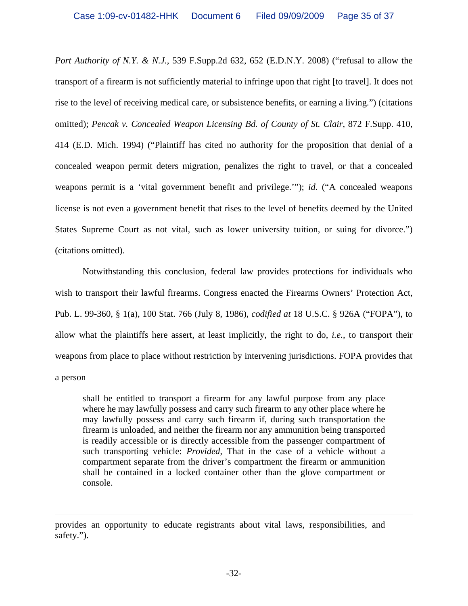*Port Authority of N.Y. & N.J.*, 539 F.Supp.2d 632, 652 (E.D.N.Y. 2008) ("refusal to allow the transport of a firearm is not sufficiently material to infringe upon that right [to travel]. It does not rise to the level of receiving medical care, or subsistence benefits, or earning a living.") (citations omitted); *Pencak v. Concealed Weapon Licensing Bd. of County of St. Clair*, 872 F.Supp. 410, 414 (E.D. Mich. 1994) ("Plaintiff has cited no authority for the proposition that denial of a concealed weapon permit deters migration, penalizes the right to travel, or that a concealed weapons permit is a 'vital government benefit and privilege.'"); *id*. ("A concealed weapons license is not even a government benefit that rises to the level of benefits deemed by the United States Supreme Court as not vital, such as lower university tuition, or suing for divorce.") (citations omitted).

 Notwithstanding this conclusion, federal law provides protections for individuals who wish to transport their lawful firearms. Congress enacted the Firearms Owners' Protection Act, Pub. L. 99-360, § 1(a), 100 Stat. 766 (July 8, 1986), *codified at* 18 U.S.C. § 926A ("FOPA"), to allow what the plaintiffs here assert, at least implicitly, the right to do, *i.e.*, to transport their weapons from place to place without restriction by intervening jurisdictions. FOPA provides that a person

shall be entitled to transport a firearm for any lawful purpose from any place where he may lawfully possess and carry such firearm to any other place where he may lawfully possess and carry such firearm if, during such transportation the firearm is unloaded, and neither the firearm nor any ammunition being transported is readily accessible or is directly accessible from the passenger compartment of such transporting vehicle: *Provided*, That in the case of a vehicle without a compartment separate from the driver's compartment the firearm or ammunition shall be contained in a locked container other than the glove compartment or console.

 $\overline{a}$ 

provides an opportunity to educate registrants about vital laws, responsibilities, and safety.").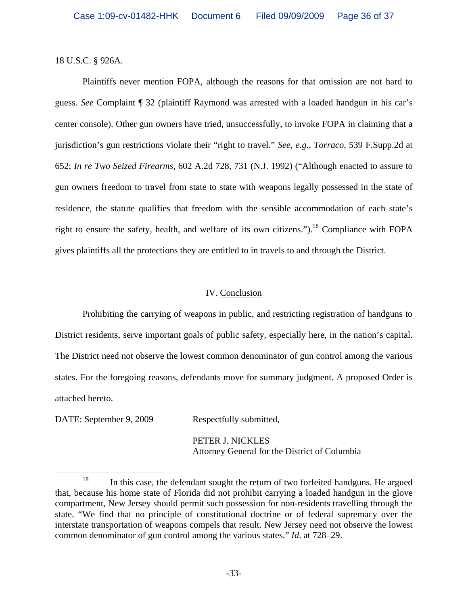18 U.S.C. § 926A.

Plaintiffs never mention FOPA, although the reasons for that omission are not hard to guess. *See* Complaint ¶ 32 (plaintiff Raymond was arrested with a loaded handgun in his car's center console). Other gun owners have tried, unsuccessfully, to invoke FOPA in claiming that a jurisdiction's gun restrictions violate their "right to travel." *See, e.g., Torraco*, 539 F.Supp.2d at 652; *In re Two Seized Firearms*, 602 A.2d 728, 731 (N.J. 1992) ("Although enacted to assure to gun owners freedom to travel from state to state with weapons legally possessed in the state of residence, the statute qualifies that freedom with the sensible accommodation of each state's right to ensure the safety, health, and welfare of its own citizens.").<sup>18</sup> Compliance with FOPA gives plaintiffs all the protections they are entitled to in travels to and through the District.

# IV. Conclusion

 Prohibiting the carrying of weapons in public, and restricting registration of handguns to District residents, serve important goals of public safety, especially here, in the nation's capital. The District need not observe the lowest common denominator of gun control among the various states. For the foregoing reasons, defendants move for summary judgment. A proposed Order is attached hereto.

DATE: September 9, 2009 Respectfully submitted,

 PETER J. NICKLES Attorney General for the District of Columbia

<sup>&</sup>lt;sup>18</sup> In this case, the defendant sought the return of two forfeited handguns. He argued that, because his home state of Florida did not prohibit carrying a loaded handgun in the glove compartment, New Jersey should permit such possession for non-residents travelling through the state. "We find that no principle of constitutional doctrine or of federal supremacy over the interstate transportation of weapons compels that result. New Jersey need not observe the lowest common denominator of gun control among the various states." *Id*. at 728–29.